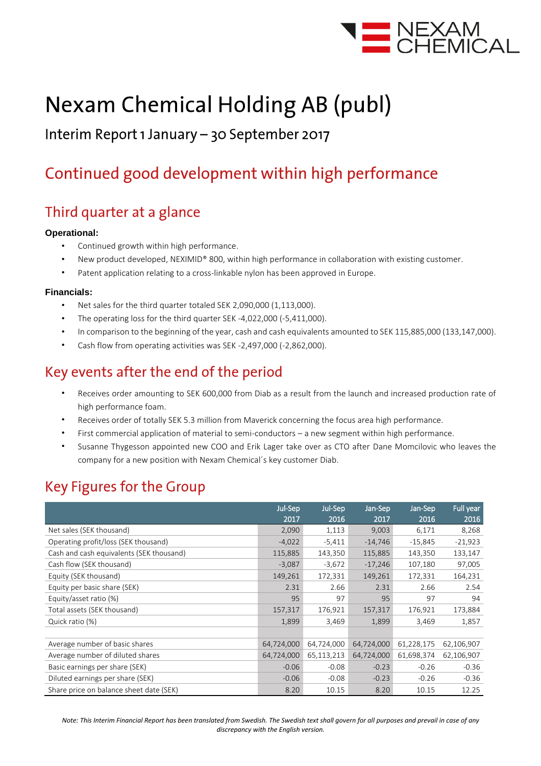

# **Nexam Chemical Holding AB (publ)**

### Interim Report 1 January - 30 September 2017

# Continued good development within high performance

### Third quarter at a glance

#### **Operational:**

- Continued growth within high performance.
- New product developed, NEXIMID® 800, within high performance in collaboration with existing customer.
- Patent application relating to a cross-linkable nylon has been approved in Europe.

#### **Financials:**

- Net sales for the third quarter totaled SEK 2,090,000 (1,113,000).
- The operating loss for the third quarter SEK -4,022,000 (-5,411,000).
- In comparison to the beginning of the year, cash and cash equivalents amounted to SEK 115,885,000 (133,147,000).
- Cash flow from operating activities was SEK -2,497,000 (-2,862,000).

### Key events after the end of the period

- Receives order amounting to SEK 600,000 from Diab as a result from the launch and increased production rate of high performance foam.
- Receives order of totally SEK 5.3 million from Maverick concerning the focus area high performance.
- First commercial application of material to semi-conductors a new segment within high performance.
- Susanne Thygesson appointed new COO and Erik Lager take over as CTO after Dane Momcilovic who leaves the company for a new position with Nexam Chemical´s key customer Diab.

### **Key Figures for the Group**

|                                          | Jul-Sep    | Jul-Sep    | Jan-Sep    | Jan-Sep    | Full year  |
|------------------------------------------|------------|------------|------------|------------|------------|
|                                          | 2017       | 2016       | 2017       | 2016       | 2016       |
| Net sales (SEK thousand)                 | 2,090      | 1,113      | 9,003      | 6,171      | 8,268      |
| Operating profit/loss (SEK thousand)     | $-4,022$   | $-5,411$   | $-14,746$  | $-15,845$  | $-21,923$  |
| Cash and cash equivalents (SEK thousand) | 115,885    | 143,350    | 115,885    | 143,350    | 133,147    |
| Cash flow (SEK thousand)                 | $-3,087$   | $-3,672$   | $-17,246$  | 107,180    | 97,005     |
| Equity (SEK thousand)                    | 149,261    | 172,331    | 149,261    | 172,331    | 164,231    |
| Equity per basic share (SEK)             | 2.31       | 2.66       | 2.31       | 2.66       | 2.54       |
| Equity/asset ratio (%)                   | 95         | 97         | 95         | 97         | 94         |
| Total assets (SEK thousand)              | 157,317    | 176,921    | 157,317    | 176,921    | 173,884    |
| Quick ratio (%)                          | 1,899      | 3,469      | 1,899      | 3,469      | 1,857      |
|                                          |            |            |            |            |            |
| Average number of basic shares           | 64,724,000 | 64,724,000 | 64,724,000 | 61,228,175 | 62,106,907 |
| Average number of diluted shares         | 64,724,000 | 65,113,213 | 64,724,000 | 61,698,374 | 62,106,907 |
| Basic earnings per share (SEK)           | $-0.06$    | $-0.08$    | $-0.23$    | $-0.26$    | $-0.36$    |
| Diluted earnings per share (SEK)         | $-0.06$    | $-0.08$    | $-0.23$    | $-0.26$    | $-0.36$    |
| Share price on balance sheet date (SEK)  | 8.20       | 10.15      | 8.20       | 10.15      | 12.25      |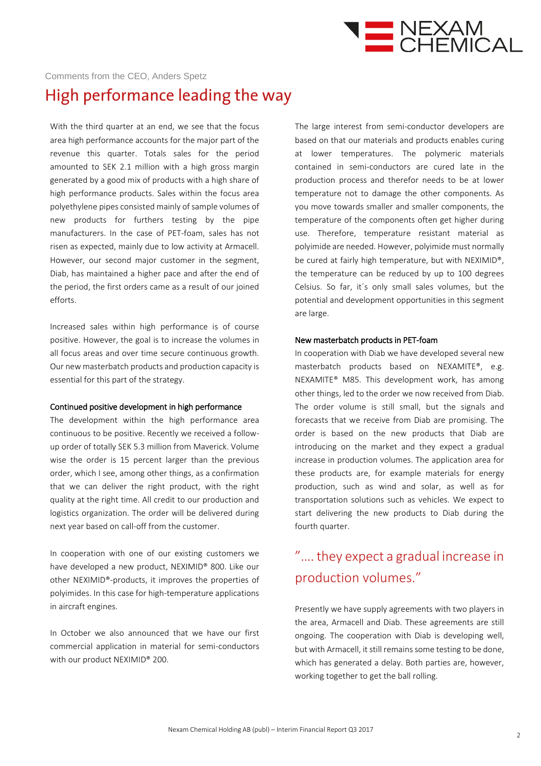

#### Comments from the CEO, Anders Spetz

### High performance leading the way

With the third quarter at an end, we see that the focus area high performance accounts for the major part of the revenue this quarter. Totals sales for the period amounted to SEK 2.1 million with a high gross margin generated by a good mix of products with a high share of high performance products. Sales within the focus area polyethylene pipes consisted mainly of sample volumes of new products for furthers testing by the pipe manufacturers. In the case of PET-foam, sales has not risen as expected, mainly due to low activity at Armacell. However, our second major customer in the segment, Diab, has maintained a higher pace and after the end of the period, the first orders came as a result of our joined efforts.

Increased sales within high performance is of course positive. However, the goal is to increase the volumes in all focus areas and over time secure continuous growth. Our new masterbatch products and production capacity is essential for this part of the strategy.

#### Continued positive development in high performance

The development within the high performance area continuous to be positive. Recently we received a followup order of totally SEK 5.3 million from Maverick. Volume wise the order is 15 percent larger than the previous order, which I see, among other things, as a confirmation that we can deliver the right product, with the right quality at the right time. All credit to our production and logistics organization. The order will be delivered during next year based on call-off from the customer.

In cooperation with one of our existing customers we have developed a new product, NEXIMID® 800. Like our other NEXIMID®-products, it improves the properties of polyimides. In this case for high-temperature applications in aircraft engines.

In October we also announced that we have our first commercial application in material for semi-conductors with our product NEXIMID® 200.

The large interest from semi-conductor developers are based on that our materials and products enables curing at lower temperatures. The polymeric materials contained in semi-conductors are cured late in the production process and therefor needs to be at lower temperature not to damage the other components. As you move towards smaller and smaller components, the temperature of the components often get higher during use. Therefore, temperature resistant material as polyimide are needed. However, polyimide must normally be cured at fairly high temperature, but with NEXIMID®, the temperature can be reduced by up to 100 degrees Celsius. So far, it´s only small sales volumes, but the potential and development opportunities in this segment are large.

#### New masterbatch products in PET-foam

In cooperation with Diab we have developed several new masterbatch products based on NEXAMITE®, e.g. NEXAMITE® M85. This development work, has among other things, led to the order we now received from Diab. The order volume is still small, but the signals and forecasts that we receive from Diab are promising. The order is based on the new products that Diab are introducing on the market and they expect a gradual increase in production volumes. The application area for these products are, for example materials for energy production, such as wind and solar, as well as for transportation solutions such as vehicles. We expect to start delivering the new products to Diab during the fourth quarter.

### "….they expect a gradual increase in production volumes."

Presently we have supply agreements with two players in the area, Armacell and Diab. These agreements are still ongoing. The cooperation with Diab is developing well, but with Armacell, it still remains some testing to be done, which has generated a delay. Both parties are, however, working together to get the ball rolling.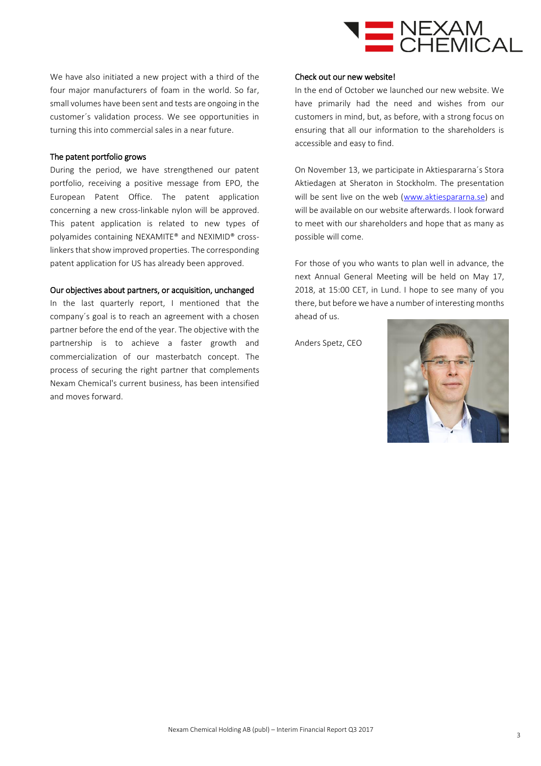

We have also initiated a new project with a third of the four major manufacturers of foam in the world. So far, small volumes have been sent and tests are ongoing in the customer´s validation process. We see opportunities in turning this into commercial sales in a near future.

#### The patent portfolio grows

During the period, we have strengthened our patent portfolio, receiving a positive message from EPO, the European Patent Office. The patent application concerning a new cross-linkable nylon will be approved. This patent application is related to new types of polyamides containing NEXAMITE® and NEXIMID® crosslinkers that show improved properties. The corresponding patent application for US has already been approved.

#### Our objectives about partners, or acquisition, unchanged

In the last quarterly report, I mentioned that the company´s goal is to reach an agreement with a chosen partner before the end of the year. The objective with the partnership is to achieve a faster growth and commercialization of our masterbatch concept. The process of securing the right partner that complements Nexam Chemical's current business, has been intensified and moves forward.

#### Check out our new website!

In the end of October we launched our new website. We have primarily had the need and wishes from our customers in mind, but, as before, with a strong focus on ensuring that all our information to the shareholders is accessible and easy to find.

On November 13, we participate in Aktiespararna´s Stora Aktiedagen at Sheraton in Stockholm. The presentation will be sent live on the web [\(www.aktiespararna.se\)](http://www.aktiespararna.se/) and will be available on our website afterwards. I look forward to meet with our shareholders and hope that as many as possible will come.

For those of you who wants to plan well in advance, the next Annual General Meeting will be held on May 17, 2018, at 15:00 CET, in Lund. I hope to see many of you there, but before we have a number of interesting months ahead of us.

Anders Spetz, CEO

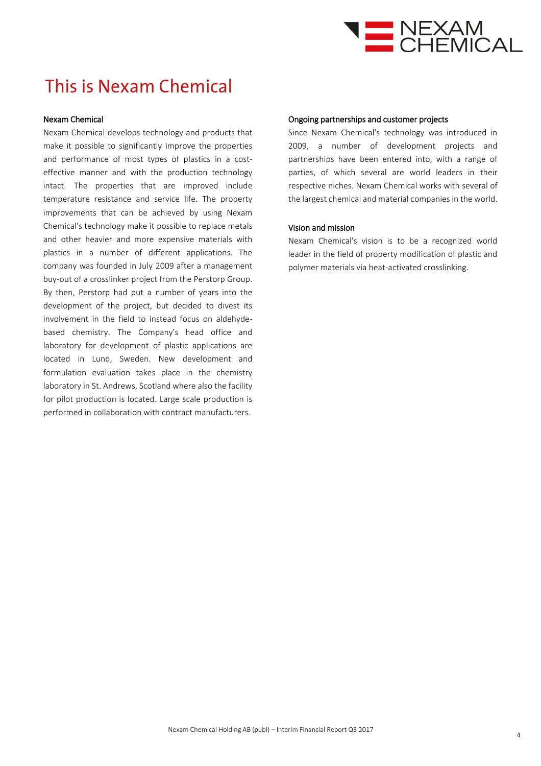

# This is Nexam Chemical

#### Nexam Chemical

Nexam Chemical develops technology and products that make it possible to significantly improve the properties and performance of most types of plastics in a costeffective manner and with the production technology intact. The properties that are improved include temperature resistance and service life. The property improvements that can be achieved by using Nexam Chemical's technology make it possible to replace metals and other heavier and more expensive materials with plastics in a number of different applications. The company was founded in July 2009 after a management buy-out of a crosslinker project from the Perstorp Group. By then, Perstorp had put a number of years into the development of the project, but decided to divest its involvement in the field to instead focus on aldehydebased chemistry. The Company's head office and laboratory for development of plastic applications are located in Lund, Sweden. New development and formulation evaluation takes place in the chemistry laboratory in St. Andrews, Scotland where also the facility for pilot production is located. Large scale production is performed in collaboration with contract manufacturers.

#### Ongoing partnerships and customer projects

Since Nexam Chemical's technology was introduced in 2009, a number of development projects and partnerships have been entered into, with a range of parties, of which several are world leaders in their respective niches. Nexam Chemical works with several of the largest chemical and material companies in the world.

#### Vision and mission

Nexam Chemical's vision is to be a recognized world leader in the field of property modification of plastic and polymer materials via heat-activated crosslinking.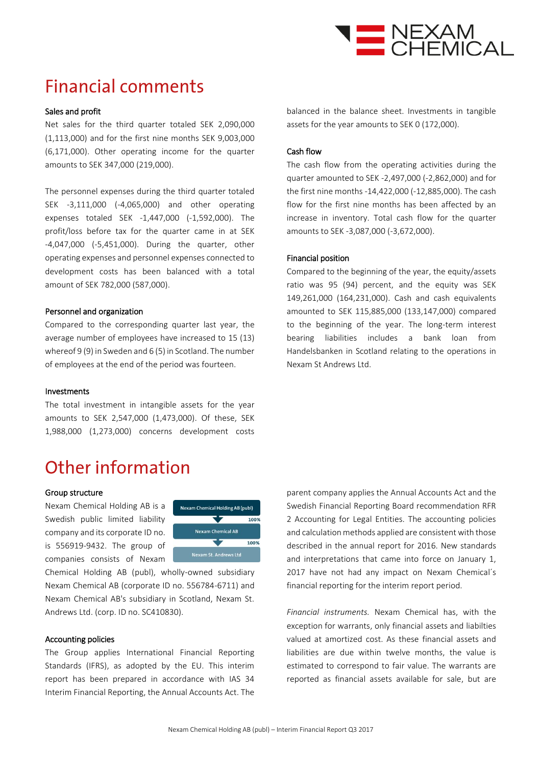

# **Financial comments**

#### Sales and profit

Net sales for the third quarter totaled SEK 2,090,000 (1,113,000) and for the first nine months SEK 9,003,000 (6,171,000). Other operating income for the quarter amounts to SEK 347,000 (219,000).

The personnel expenses during the third quarter totaled SEK -3,111,000 (-4,065,000) and other operating expenses totaled SEK -1,447,000 (-1,592,000). The profit/loss before tax for the quarter came in at SEK -4,047,000 (-5,451,000). During the quarter, other operating expenses and personnel expenses connected to development costs has been balanced with a total amount of SEK 782,000 (587,000).

#### Personnel and organization

Compared to the corresponding quarter last year, the average number of employees have increased to 15 (13) whereof 9 (9) in Sweden and 6 (5) in Scotland. The number of employees at the end of the period was fourteen.

#### Investments

The total investment in intangible assets for the year amounts to SEK 2,547,000 (1,473,000). Of these, SEK 1,988,000 (1,273,000) concerns development costs

### Other information

#### Group structure

Nexam Chemical Holding AB is a Swedish public limited liability company and its corporate ID no. is 556919-9432. The group of companies consists of Nexam



Chemical Holding AB (publ), wholly-owned subsidiary Nexam Chemical AB (corporate ID no. 556784-6711) and Nexam Chemical AB's subsidiary in Scotland, Nexam St. Andrews Ltd. (corp. ID no. SC410830).

#### Accounting policies

The Group applies International Financial Reporting Standards (IFRS), as adopted by the EU. This interim report has been prepared in accordance with IAS 34 Interim Financial Reporting, the Annual Accounts Act. The balanced in the balance sheet. Investments in tangible assets for the year amounts to SEK 0 (172,000).

#### Cash flow

The cash flow from the operating activities during the quarter amounted to SEK -2,497,000 (-2,862,000) and for the first nine months -14,422,000 (-12,885,000). The cash flow for the first nine months has been affected by an increase in inventory. Total cash flow for the quarter amounts to SEK -3,087,000 (-3,672,000).

#### Financial position

Compared to the beginning of the year, the equity/assets ratio was 95 (94) percent, and the equity was SEK 149,261,000 (164,231,000). Cash and cash equivalents amounted to SEK 115,885,000 (133,147,000) compared to the beginning of the year. The long-term interest bearing liabilities includes a bank loan from Handelsbanken in Scotland relating to the operations in Nexam St Andrews Ltd.

parent company applies the Annual Accounts Act and the Swedish Financial Reporting Board recommendation RFR 2 Accounting for Legal Entities. The accounting policies and calculation methods applied are consistent with those described in the annual report for 2016. New standards and interpretations that came into force on January 1, 2017 have not had any impact on Nexam Chemical´s financial reporting for the interim report period.

*Financial instruments.* Nexam Chemical has, with the exception for warrants, only financial assets and liabilties valued at amortized cost. As these financial assets and liabilities are due within twelve months, the value is estimated to correspond to fair value. The warrants are reported as financial assets available for sale, but are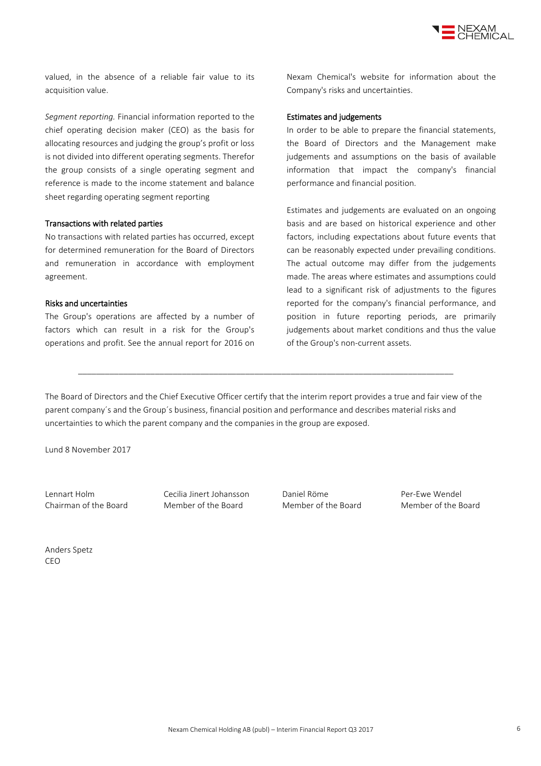

valued, in the absence of a reliable fair value to its acquisition value.

*Segment reporting.* Financial information reported to the chief operating decision maker (CEO) as the basis for allocating resources and judging the group's profit or loss is not divided into different operating segments. Therefor the group consists of a single operating segment and reference is made to the income statement and balance sheet regarding operating segment reporting

#### Transactions with related parties

No transactions with related parties has occurred, except for determined remuneration for the Board of Directors and remuneration in accordance with employment agreement.

#### Risks and uncertainties

The Group's operations are affected by a number of factors which can result in a risk for the Group's operations and profit. See the annual report for 2016 on Nexam Chemical's website for information about the Company's risks and uncertainties.

#### Estimates and judgements

In order to be able to prepare the financial statements, the Board of Directors and the Management make judgements and assumptions on the basis of available information that impact the company's financial performance and financial position.

Estimates and judgements are evaluated on an ongoing basis and are based on historical experience and other factors, including expectations about future events that can be reasonably expected under prevailing conditions. The actual outcome may differ from the judgements made. The areas where estimates and assumptions could lead to a significant risk of adjustments to the figures reported for the company's financial performance, and position in future reporting periods, are primarily judgements about market conditions and thus the value of the Group's non-current assets.

The Board of Directors and the Chief Executive Officer certify that the interim report provides a true and fair view of the parent company´s and the Group´s business, financial position and performance and describes material risks and uncertainties to which the parent company and the companies in the group are exposed.

\_\_\_\_\_\_\_\_\_\_\_\_\_\_\_\_\_\_\_\_\_\_\_\_\_\_\_\_\_\_\_\_\_\_\_\_\_\_\_\_\_\_\_\_\_\_\_\_\_\_\_\_\_\_\_\_\_\_\_\_\_\_\_\_\_\_\_\_\_\_\_\_\_\_\_\_\_\_\_\_\_\_\_

Lund 8 November 2017

Lennart Holm Cecilia Jinert Johansson Daniel Röme Per-Ewe Wendel Chairman of the Board Member of the Board Member of the Board Member of the Board

Anders Spetz CEO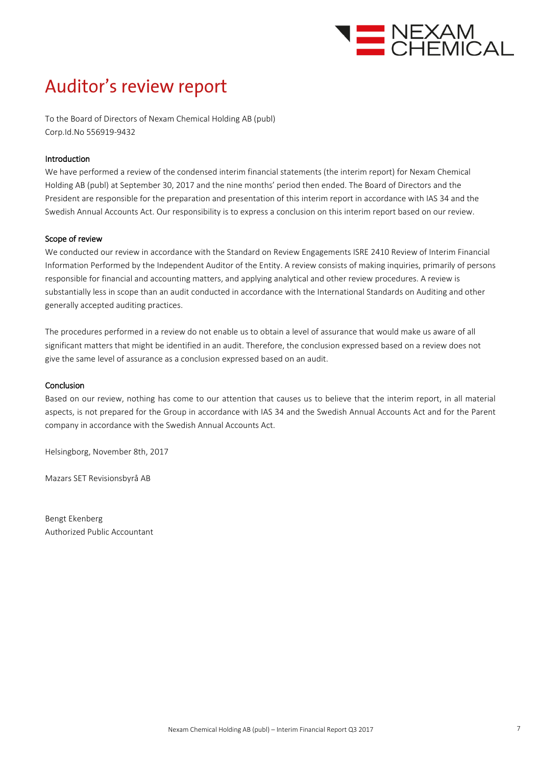

# Auditor's review report

To the Board of Directors of Nexam Chemical Holding AB (publ) Corp.Id.No 556919-9432

#### Introduction

We have performed a review of the condensed interim financial statements (the interim report) for Nexam Chemical Holding AB (publ) at September 30, 2017 and the nine months' period then ended. The Board of Directors and the President are responsible for the preparation and presentation of this interim report in accordance with IAS 34 and the Swedish Annual Accounts Act. Our responsibility is to express a conclusion on this interim report based on our review.

#### Scope of review

We conducted our review in accordance with the Standard on Review Engagements ISRE 2410 Review of Interim Financial Information Performed by the Independent Auditor of the Entity. A review consists of making inquiries, primarily of persons responsible for financial and accounting matters, and applying analytical and other review procedures. A review is substantially less in scope than an audit conducted in accordance with the International Standards on Auditing and other generally accepted auditing practices.

The procedures performed in a review do not enable us to obtain a level of assurance that would make us aware of all significant matters that might be identified in an audit. Therefore, the conclusion expressed based on a review does not give the same level of assurance as a conclusion expressed based on an audit.

#### Conclusion

Based on our review, nothing has come to our attention that causes us to believe that the interim report, in all material aspects, is not prepared for the Group in accordance with IAS 34 and the Swedish Annual Accounts Act and for the Parent company in accordance with the Swedish Annual Accounts Act.

Helsingborg, November 8th, 2017

Mazars SET Revisionsbyrå AB

Bengt Ekenberg Authorized Public Accountant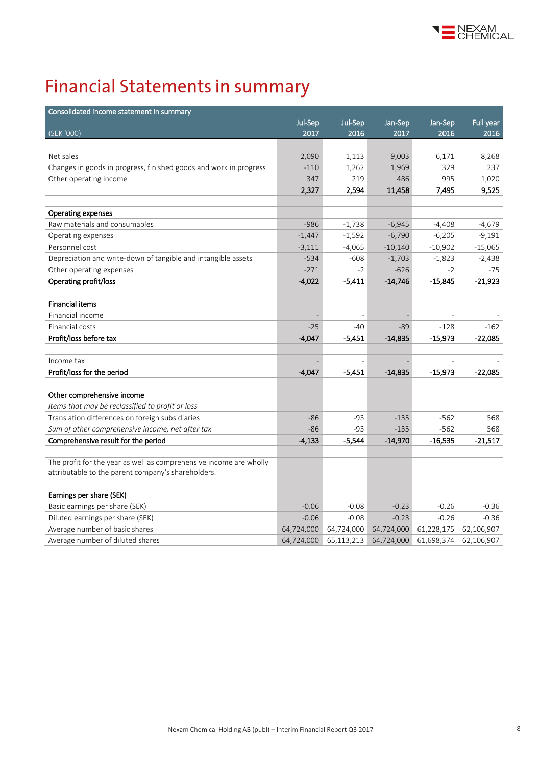

# **Financial Statements in summary**

| Consolidated income statement in summary                           |            |            |            |            |            |
|--------------------------------------------------------------------|------------|------------|------------|------------|------------|
|                                                                    | Jul-Sep    | Jul-Sep    | Jan-Sep    | Jan-Sep    | Full year  |
| (SEK '000)                                                         | 2017       | 2016       | 2017       | 2016       | 2016       |
|                                                                    |            |            |            |            |            |
| Net sales                                                          | 2,090      | 1,113      | 9,003      | 6,171      | 8,268      |
| Changes in goods in progress, finished goods and work in progress  | $-110$     | 1,262      | 1,969      | 329        | 237        |
| Other operating income                                             | 347        | 219        | 486        | 995        | 1,020      |
|                                                                    | 2,327      | 2,594      | 11,458     | 7,495      | 9,525      |
|                                                                    |            |            |            |            |            |
| Operating expenses                                                 |            |            |            |            |            |
| Raw materials and consumables                                      | $-986$     | $-1,738$   | $-6,945$   | $-4,408$   | $-4,679$   |
| Operating expenses                                                 | $-1,447$   | $-1,592$   | $-6,790$   | $-6,205$   | $-9,191$   |
| Personnel cost                                                     | $-3,111$   | $-4,065$   | $-10,140$  | $-10,902$  | $-15,065$  |
| Depreciation and write-down of tangible and intangible assets      | $-534$     | $-608$     | $-1,703$   | $-1,823$   | $-2,438$   |
| Other operating expenses                                           | $-271$     | $-2$       | $-626$     | $-2$       | $-75$      |
| Operating profit/loss                                              | $-4,022$   | $-5,411$   | $-14,746$  | $-15,845$  | -21,923    |
|                                                                    |            |            |            |            |            |
| <b>Financial items</b>                                             |            |            |            |            |            |
| Financial income                                                   |            |            |            |            |            |
| Financial costs                                                    | $-25$      | $-40$      | $-89$      | $-128$     | $-162$     |
| Profit/loss before tax                                             | $-4,047$   | -5,451     | $-14,835$  | -15,973    | $-22,085$  |
|                                                                    |            |            |            |            |            |
| Income tax                                                         |            |            |            |            |            |
| Profit/loss for the period                                         | $-4,047$   | $-5,451$   | $-14,835$  | $-15,973$  | $-22,085$  |
|                                                                    |            |            |            |            |            |
| Other comprehensive income                                         |            |            |            |            |            |
| Items that may be reclassified to profit or loss                   |            |            |            |            |            |
| Translation differences on foreign subsidiaries                    | $-86$      | $-93$      | $-135$     | $-562$     | 568        |
| Sum of other comprehensive income, net after tax                   | $-86$      | $-93$      | $-135$     | $-562$     | 568        |
| Comprehensive result for the period                                | $-4,133$   | $-5,544$   | $-14,970$  | $-16,535$  | $-21,517$  |
|                                                                    |            |            |            |            |            |
| The profit for the year as well as comprehensive income are wholly |            |            |            |            |            |
| attributable to the parent company's shareholders.                 |            |            |            |            |            |
|                                                                    |            |            |            |            |            |
| Earnings per share (SEK)                                           |            |            |            |            |            |
| Basic earnings per share (SEK)                                     | $-0.06$    | $-0.08$    | $-0.23$    | $-0.26$    | $-0.36$    |
| Diluted earnings per share (SEK)                                   | $-0.06$    | $-0.08$    | $-0.23$    | $-0.26$    | $-0.36$    |
| Average number of basic shares                                     | 64,724,000 | 64,724,000 | 64,724,000 | 61,228,175 | 62,106,907 |
| Average number of diluted shares                                   | 64,724,000 | 65,113,213 | 64,724,000 | 61,698,374 | 62,106,907 |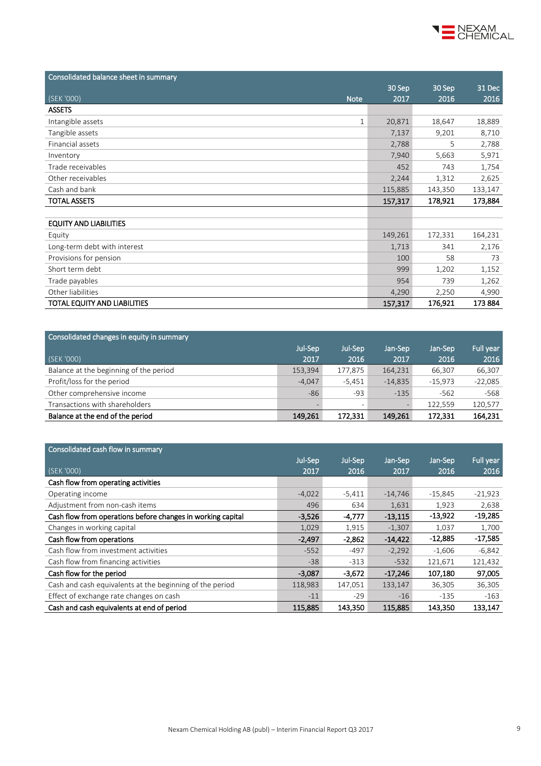

| Consolidated balance sheet in summary |         |         |         |
|---------------------------------------|---------|---------|---------|
|                                       | 30 Sep  | 30 Sep  | 31 Dec  |
| (SEK '000)<br><b>Note</b>             | 2017    | 2016    | 2016    |
| <b>ASSETS</b>                         |         |         |         |
| Intangible assets<br>$\mathbf{1}$     | 20,871  | 18,647  | 18,889  |
| Tangible assets                       | 7,137   | 9,201   | 8,710   |
| Financial assets                      | 2,788   | 5       | 2,788   |
| Inventory                             | 7,940   | 5,663   | 5,971   |
| Trade receivables                     | 452     | 743     | 1,754   |
| Other receivables                     | 2,244   | 1,312   | 2,625   |
| Cash and bank                         | 115,885 | 143,350 | 133,147 |
| <b>TOTAL ASSETS</b>                   | 157,317 | 178,921 | 173,884 |
|                                       |         |         |         |
| <b>EQUITY AND LIABILITIES</b>         |         |         |         |
| Equity                                | 149,261 | 172,331 | 164,231 |
| Long-term debt with interest          | 1,713   | 341     | 2,176   |
| Provisions for pension                | 100     | 58      | 73      |
| Short term debt                       | 999     | 1,202   | 1,152   |
| Trade payables                        | 954     | 739     | 1,262   |
| Other liabilities                     | 4,290   | 2,250   | 4,990   |
| TOTAL EQUITY AND LIABILITIES          | 157,317 | 176,921 | 173 884 |

| Consolidated changes in equity in summary |          |          |           |           |           |
|-------------------------------------------|----------|----------|-----------|-----------|-----------|
|                                           | Jul-Sep  | Jul-Sep  | Jan-Sep   | Jan-Sep   | Full year |
| (SEK '000)                                | 2017     | 2016     | 2017      | 2016      | 2016      |
| Balance at the beginning of the period    | 153,394  | 177,875  | 164,231   | 66,307    | 66,307    |
| Profit/loss for the period                | $-4.047$ | $-5,451$ | $-14.835$ | $-15.973$ | $-22,085$ |
| Other comprehensive income                | $-86$    | -93      | $-135$    | $-562$    | -568      |
| Transactions with shareholders            |          |          |           | 122.559   | 120,577   |
| Balance at the end of the period          | 149.261  | 172,331  | 149,261   | 172.331   | 164,231   |

| Consolidated cash flow in summary                           |          |          |           |           |           |
|-------------------------------------------------------------|----------|----------|-----------|-----------|-----------|
|                                                             | Jul-Sep  | Jul-Sep  | Jan-Sep   | Jan-Sep   | Full year |
| (SEK '000)                                                  | 2017     | 2016     | 2017      | 2016      | 2016      |
| Cash flow from operating activities                         |          |          |           |           |           |
| Operating income                                            | $-4,022$ | $-5,411$ | $-14,746$ | $-15,845$ | $-21,923$ |
| Adjustment from non-cash items                              | 496      | 634      | 1,631     | 1,923     | 2,638     |
| Cash flow from operations before changes in working capital | $-3,526$ | $-4,777$ | $-13,115$ | $-13,922$ | $-19,285$ |
| Changes in working capital                                  | 1,029    | 1,915    | $-1,307$  | 1,037     | 1,700     |
| Cash flow from operations                                   | $-2,497$ | $-2.862$ | $-14,422$ | $-12,885$ | -17,585   |
| Cash flow from investment activities                        | $-552$   | $-497$   | $-2,292$  | $-1,606$  | $-6,842$  |
| Cash flow from financing activities                         | $-38$    | $-313$   | $-532$    | 121,671   | 121,432   |
| Cash flow for the period                                    | $-3,087$ | $-3,672$ | $-17,246$ | 107,180   | 97,005    |
| Cash and cash equivalents at the beginning of the period    | 118,983  | 147,051  | 133,147   | 36,305    | 36,305    |
| Effect of exchange rate changes on cash                     | $-11$    | $-29$    | $-16$     | $-135$    | $-163$    |
| Cash and cash equivalents at end of period                  | 115,885  | 143.350  | 115,885   | 143,350   | 133,147   |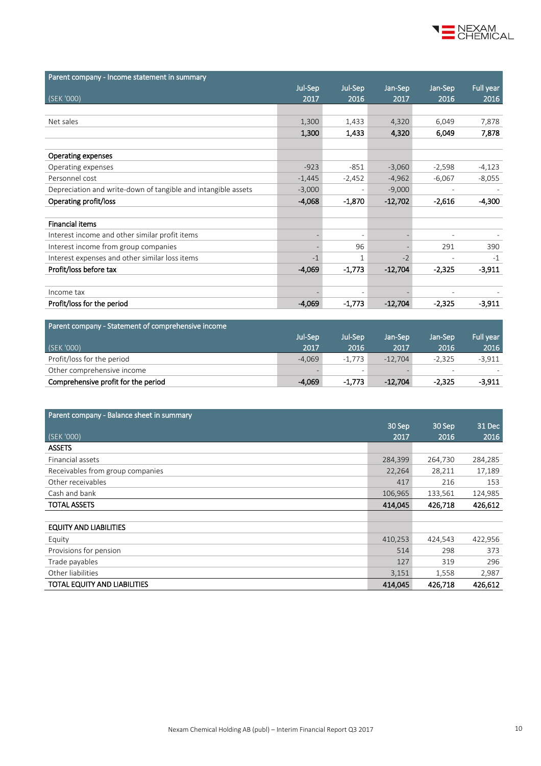

| Parent company - Income statement in summary                  |                |                          |           |                          |           |
|---------------------------------------------------------------|----------------|--------------------------|-----------|--------------------------|-----------|
|                                                               | Jul-Sep        | Jul-Sep                  | Jan-Sep   | Jan-Sep                  | Full year |
| (SEK '000)                                                    | 2017           | 2016                     | 2017      | 2016                     | 2016      |
|                                                               |                |                          |           |                          |           |
| Net sales                                                     | 1,300          | 1,433                    | 4,320     | 6,049                    | 7,878     |
|                                                               | 1,300          | 1,433                    | 4,320     | 6,049                    | 7,878     |
|                                                               |                |                          |           |                          |           |
| <b>Operating expenses</b>                                     |                |                          |           |                          |           |
| Operating expenses                                            | $-923$         | $-851$                   | $-3,060$  | $-2,598$                 | $-4,123$  |
| Personnel cost                                                | $-1,445$       | $-2,452$                 | $-4,962$  | $-6,067$                 | $-8,055$  |
| Depreciation and write-down of tangible and intangible assets | $-3,000$       | $\overline{\phantom{a}}$ | $-9,000$  | $\overline{\phantom{a}}$ |           |
| Operating profit/loss                                         | $-4,068$       | $-1,870$                 | $-12,702$ | $-2,616$                 | $-4,300$  |
|                                                               |                |                          |           |                          |           |
| <b>Financial items</b>                                        |                |                          |           |                          |           |
| Interest income and other similar profit items                | $\overline{a}$ | $\overline{\phantom{a}}$ |           | $\overline{\phantom{a}}$ |           |
| Interest income from group companies                          |                | 96                       |           | 291                      | 390       |
| Interest expenses and other similar loss items                | $-1$           | $\mathbf{1}$             | $-2$      |                          | $-1$      |
| Profit/loss before tax                                        | $-4,069$       | $-1,773$                 | $-12,704$ | $-2,325$                 | $-3,911$  |
|                                                               |                |                          |           |                          |           |
| Income tax                                                    |                |                          |           |                          |           |
| Profit/loss for the period                                    | $-4,069$       | $-1,773$                 | $-12,704$ | $-2,325$                 | $-3,911$  |
|                                                               |                |                          |           |                          |           |

| Parent company - Statement of comprehensive income |          |          |           |                          |           |
|----------------------------------------------------|----------|----------|-----------|--------------------------|-----------|
|                                                    | Jul-Sep  | Jul-Sep  | Jan-Sep   | Jan-Sep                  | Full year |
| (SEK '000)                                         | 2017     | 2016     | 2017      | 2016                     | 2016      |
| Profit/loss for the period                         | $-4.069$ | $-1.773$ | $-12.704$ | $-2.325$                 | $-3.911$  |
| Other comprehensive income                         |          |          |           | $\overline{\phantom{a}}$ |           |
| Comprehensive profit for the period                | $-4,069$ | $-1.773$ | $-12.704$ | $-2.325$                 | $-3.911$  |

| Parent company - Balance sheet in summary |         |         |         |
|-------------------------------------------|---------|---------|---------|
|                                           | 30 Sep  | 30 Sep  | 31 Dec  |
| (SEK'000)                                 | 2017    | 2016    | 2016    |
| <b>ASSETS</b>                             |         |         |         |
| Financial assets                          | 284,399 | 264,730 | 284,285 |
| Receivables from group companies          | 22,264  | 28,211  | 17,189  |
| Other receivables                         | 417     | 216     | 153     |
| Cash and bank                             | 106,965 | 133,561 | 124,985 |
| <b>TOTAL ASSETS</b>                       | 414,045 | 426,718 | 426,612 |
|                                           |         |         |         |
| <b>EQUITY AND LIABILITIES</b>             |         |         |         |
| Equity                                    | 410,253 | 424,543 | 422,956 |
| Provisions for pension                    | 514     | 298     | 373     |
| Trade payables                            | 127     | 319     | 296     |
| Other liabilities                         | 3,151   | 1,558   | 2,987   |
| TOTAL EQUITY AND LIABILITIES              | 414,045 | 426,718 | 426,612 |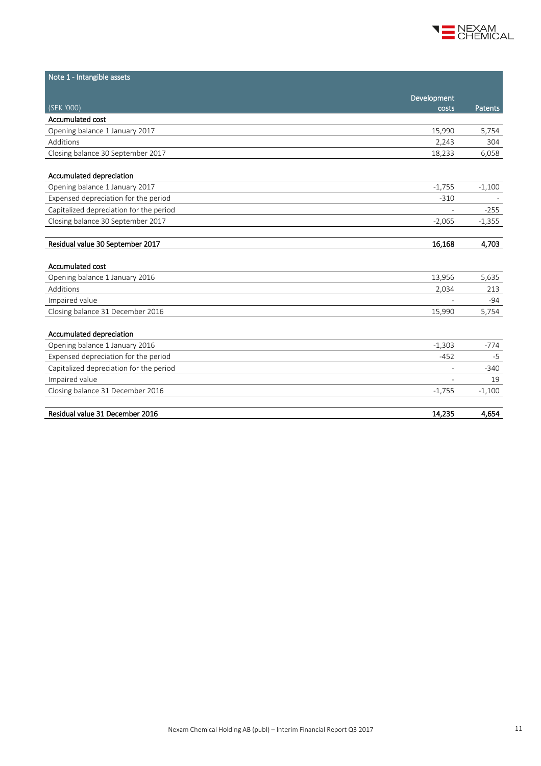

| Note 1 - Intangible assets              |                          |          |
|-----------------------------------------|--------------------------|----------|
|                                         |                          |          |
| (SEK '000)                              | Development<br>costs     | Patents  |
| <b>Accumulated cost</b>                 |                          |          |
| Opening balance 1 January 2017          | 15,990                   | 5,754    |
| Additions                               | 2,243                    | 304      |
| Closing balance 30 September 2017       | 18,233                   | 6,058    |
|                                         |                          |          |
| Accumulated depreciation                |                          |          |
| Opening balance 1 January 2017          | $-1,755$                 | $-1,100$ |
| Expensed depreciation for the period    | $-310$                   |          |
| Capitalized depreciation for the period |                          | $-255$   |
| Closing balance 30 September 2017       | $-2,065$                 | $-1,355$ |
|                                         |                          |          |
| Residual value 30 September 2017        | 16,168                   | 4,703    |
|                                         |                          |          |
| <b>Accumulated cost</b>                 |                          |          |
| Opening balance 1 January 2016          | 13,956                   | 5,635    |
| Additions                               | 2,034                    | 213      |
| Impaired value                          |                          | $-94$    |
| Closing balance 31 December 2016        | 15,990                   | 5,754    |
|                                         |                          |          |
| Accumulated depreciation                |                          |          |
| Opening balance 1 January 2016          | $-1,303$                 | -774     |
| Expensed depreciation for the period    | $-452$                   | $-5$     |
| Capitalized depreciation for the period |                          | $-340$   |
| Impaired value                          | $\overline{\phantom{a}}$ | 19       |
| Closing balance 31 December 2016        | $-1,755$                 | $-1,100$ |
| Residual value 31 December 2016         | 14,235                   | 4,654    |
|                                         |                          |          |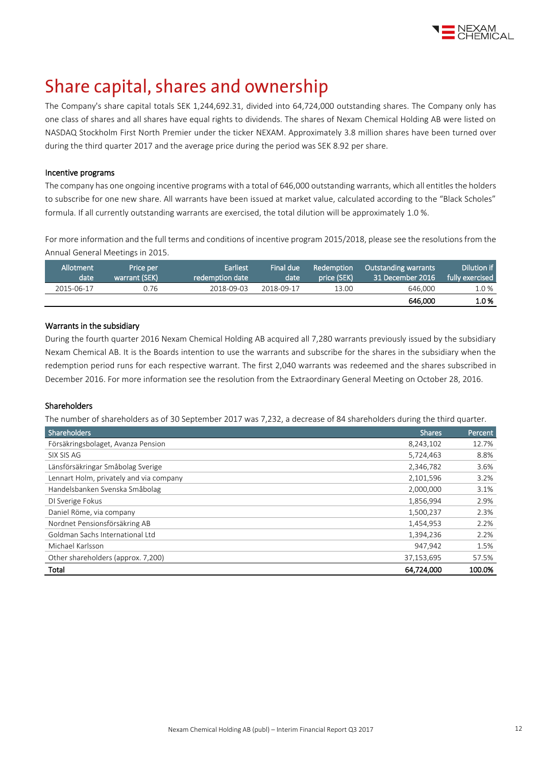

# Share capital, shares and ownership

The Company's share capital totals SEK 1,244,692.31, divided into 64,724,000 outstanding shares. The Company only has one class of shares and all shares have equal rights to dividends. The shares of Nexam Chemical Holding AB were listed on NASDAQ Stockholm First North Premier under the ticker NEXAM. Approximately 3.8 million shares have been turned over during the third quarter 2017 and the average price during the period was SEK 8.92 per share.

#### Incentive programs

The company has one ongoing incentive programs with a total of 646,000 outstanding warrants, which all entitles the holders to subscribe for one new share. All warrants have been issued at market value, calculated according to the "Black Scholes" formula. If all currently outstanding warrants are exercised, the total dilution will be approximately 1.0 %.

For more information and the full terms and conditions of incentive program 2015/2018, please see the resolutions from the Annual General Meetings i[n 2015.](http://www.nexamchemical.com/secure/CMS/?language=en#context=epi.cms.contentdata:///245&viewsetting=active:///true)

| Allotment<br>date | Price per<br>warrant (SEK) | <b>Earliest</b><br>redemption date | Final due<br>date | Redemption<br>price (SEK) | <b>Outstanding warrants</b><br>$\,$ 31 December 2016 $^{\circ}$ | Dilution if<br>fully exercised |
|-------------------|----------------------------|------------------------------------|-------------------|---------------------------|-----------------------------------------------------------------|--------------------------------|
| 2015-06-17        | 0.76                       | 2018-09-03                         | 2018-09-17        | 13.00                     | 646,000                                                         | 1.0%                           |
|                   |                            |                                    |                   |                           | 646,000                                                         | 1.0%                           |

#### Warrants in the subsidiary

During the fourth quarter 2016 Nexam Chemical Holding AB acquired all 7,280 warrants previously issued by the subsidiary Nexam Chemical AB. It is the Boards intention to use the warrants and subscribe for the shares in the subsidiary when the redemption period runs for each respective warrant. The first 2,040 warrants was redeemed and the shares subscribed in December 2016. For more information see the resolution from the Extraordinary General Meeting on October 28, 2016.

#### Shareholders

The number of shareholders as of 30 September 2017 was 7,232, a decrease of 84 shareholders during the third quarter.

| <b>Shareholders</b>                     | <b>Shares</b> | Percent, |
|-----------------------------------------|---------------|----------|
| Försäkringsbolaget, Avanza Pension      | 8,243,102     | 12.7%    |
| SIX SIS AG                              | 5,724,463     | 8.8%     |
| Länsförsäkringar Småbolag Sverige       | 2,346,782     | 3.6%     |
| Lennart Holm, privately and via company | 2,101,596     | 3.2%     |
| Handelsbanken Svenska Småbolag          | 2,000,000     | 3.1%     |
| DI Sverige Fokus                        | 1,856,994     | 2.9%     |
| Daniel Röme, via company                | 1,500,237     | 2.3%     |
| Nordnet Pensionsförsäkring AB           | 1,454,953     | 2.2%     |
| Goldman Sachs International Ltd         | 1,394,236     | 2.2%     |
| Michael Karlsson                        | 947,942       | 1.5%     |
| Other shareholders (approx. 7,200)      | 37,153,695    | 57.5%    |
| Total                                   | 64,724,000    | 100.0%   |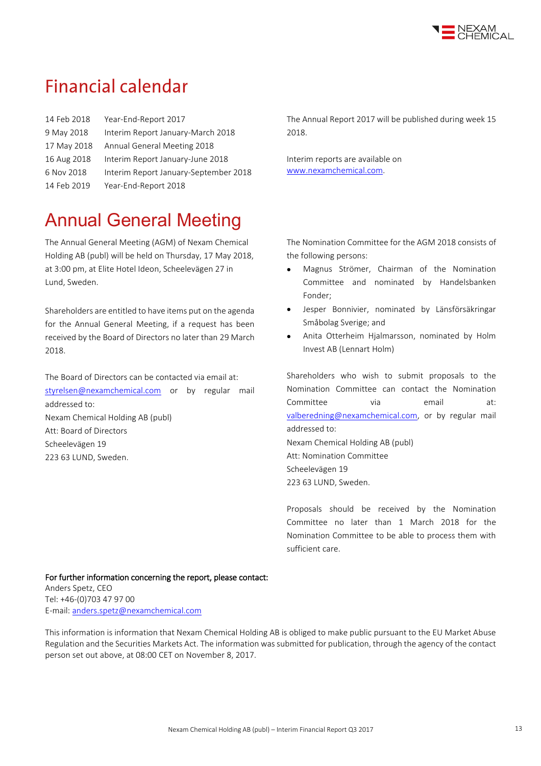

# **Financial calendar**

| 14 Feb 2018 | Year-End-Report 2017                  |
|-------------|---------------------------------------|
| 9 May 2018  | Interim Report January-March 2018     |
| 17 May 2018 | Annual General Meeting 2018           |
| 16 Aug 2018 | Interim Report January-June 2018      |
| 6 Nov 2018  | Interim Report January-September 2018 |
| 14 Feb 2019 | Year-End-Report 2018                  |

# Annual General Meeting

The Annual General Meeting (AGM) of Nexam Chemical Holding AB (publ) will be held on Thursday, 17 May 2018, at 3:00 pm, at Elite Hotel Ideon, Scheelevägen 27 in Lund, Sweden.

Shareholders are entitled to have items put on the agenda for the Annual General Meeting, if a request has been received by the Board of Directors no later than 29 March 2018.

The Board of Directors can be contacted via email at: [styrelsen@nexamchemical.com](file://///VENUS/Userfolder/c.svensson/Finans/Kvartalsrapport/Q3%202017/Q-rapport/styrelsen@nexamchemical.com%20) or by regular mail addressed to: Nexam Chemical Holding AB (publ) Att: Board of Directors Scheelevägen 19 223 63 LUND, Sweden.

The Annual Report 2017 will be published during week 15 2018.

Interim reports are available on [www.nexamchemical.com.](http://www.nexamchemical.com/)

The Nomination Committee for the AGM 2018 consists of the following persons:

- Magnus Strömer, Chairman of the Nomination Committee and nominated by Handelsbanken Fonder;
- Jesper Bonnivier, nominated by Länsförsäkringar Småbolag Sverige; and
- Anita Otterheim Hjalmarsson, nominated by Holm Invest AB (Lennart Holm)

Shareholders who wish to submit proposals to the Nomination Committee can contact the Nomination Committee via email at: [valberedning@nexamchemical.com,](file://///VENUS/Userfolder/c.svensson/Finans/Kvartalsrapport/Q3%202017/Q-rapport/valberedning@nexamchemical.com) or by regular mail addressed to: Nexam Chemical Holding AB (publ) Att: Nomination Committee Scheelevägen 19 223 63 LUND, Sweden.

Proposals should be received by the Nomination Committee no later than 1 March 2018 for the Nomination Committee to be able to process them with sufficient care.

#### For further information concerning the report, please contact:

Anders Spetz, CEO Tel: +46-(0)703 47 97 00 E-mail[: anders.spetz@nexamchemical.com](mailto:anders.spetz@nexamchemical.com)

This information is information that Nexam Chemical Holding AB is obliged to make public pursuant to the EU Market Abuse Regulation and the Securities Markets Act. The information was submitted for publication, through the agency of the contact person set out above, at 08:00 CET on November 8, 2017.